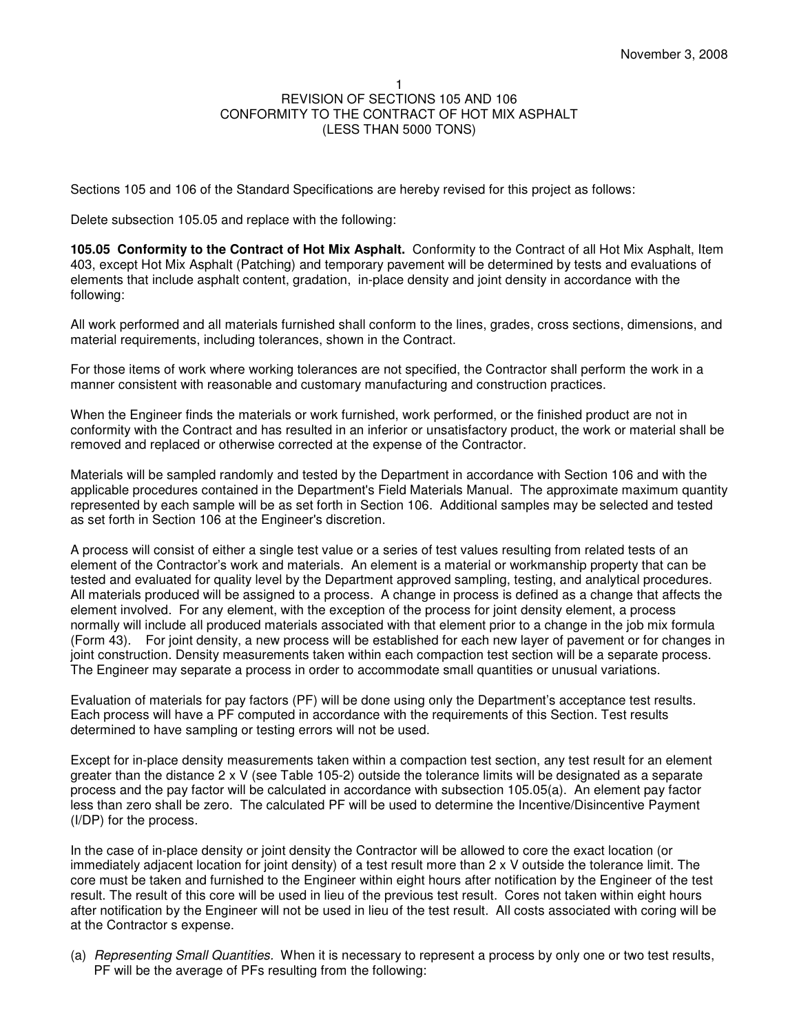Sections 105 and 106 of the Standard Specifications are hereby revised for this project as follows:

Delete subsection 105.05 and replace with the following:

**105.05 Conformity to the Contract of Hot Mix Asphalt.** Conformity to the Contract of all Hot Mix Asphalt, Item 403, except Hot Mix Asphalt (Patching) and temporary pavement will be determined by tests and evaluations of elements that include asphalt content, gradation, in-place density and joint density in accordance with the following:

All work performed and all materials furnished shall conform to the lines, grades, cross sections, dimensions, and material requirements, including tolerances, shown in the Contract.

For those items of work where working tolerances are not specified, the Contractor shall perform the work in a manner consistent with reasonable and customary manufacturing and construction practices.

When the Engineer finds the materials or work furnished, work performed, or the finished product are not in conformity with the Contract and has resulted in an inferior or unsatisfactory product, the work or material shall be removed and replaced or otherwise corrected at the expense of the Contractor.

Materials will be sampled randomly and tested by the Department in accordance with Section 106 and with the applicable procedures contained in the Department's Field Materials Manual. The approximate maximum quantity represented by each sample will be as set forth in Section 106. Additional samples may be selected and tested as set forth in Section 106 at the Engineer's discretion.

A process will consist of either a single test value or a series of test values resulting from related tests of an element of the Contractor's work and materials. An element is a material or workmanship property that can be tested and evaluated for quality level by the Department approved sampling, testing, and analytical procedures. All materials produced will be assigned to a process. A change in process is defined as a change that affects the element involved. For any element, with the exception of the process for joint density element, a process normally will include all produced materials associated with that element prior to a change in the job mix formula (Form 43). For joint density, a new process will be established for each new layer of pavement or for changes in joint construction. Density measurements taken within each compaction test section will be a separate process. The Engineer may separate a process in order to accommodate small quantities or unusual variations.

Evaluation of materials for pay factors (PF) will be done using only the Department's acceptance test results. Each process will have a PF computed in accordance with the requirements of this Section. Test results determined to have sampling or testing errors will not be used.

Except for in-place density measurements taken within a compaction test section, any test result for an element greater than the distance 2 x V (see Table 105-2) outside the tolerance limits will be designated as a separate process and the pay factor will be calculated in accordance with subsection 105.05(a). An element pay factor less than zero shall be zero. The calculated PF will be used to determine the Incentive/Disincentive Payment (I/DP) for the process.

In the case of in-place density or joint density the Contractor will be allowed to core the exact location (or immediately adjacent location for joint density) of a test result more than 2 x V outside the tolerance limit. The core must be taken and furnished to the Engineer within eight hours after notification by the Engineer of the test result. The result of this core will be used in lieu of the previous test result. Cores not taken within eight hours after notification by the Engineer will not be used in lieu of the test result. All costs associated with coring will be at the Contractor s expense.

(a) Representing Small Quantities. When it is necessary to represent a process by only one or two test results, PF will be the average of PFs resulting from the following: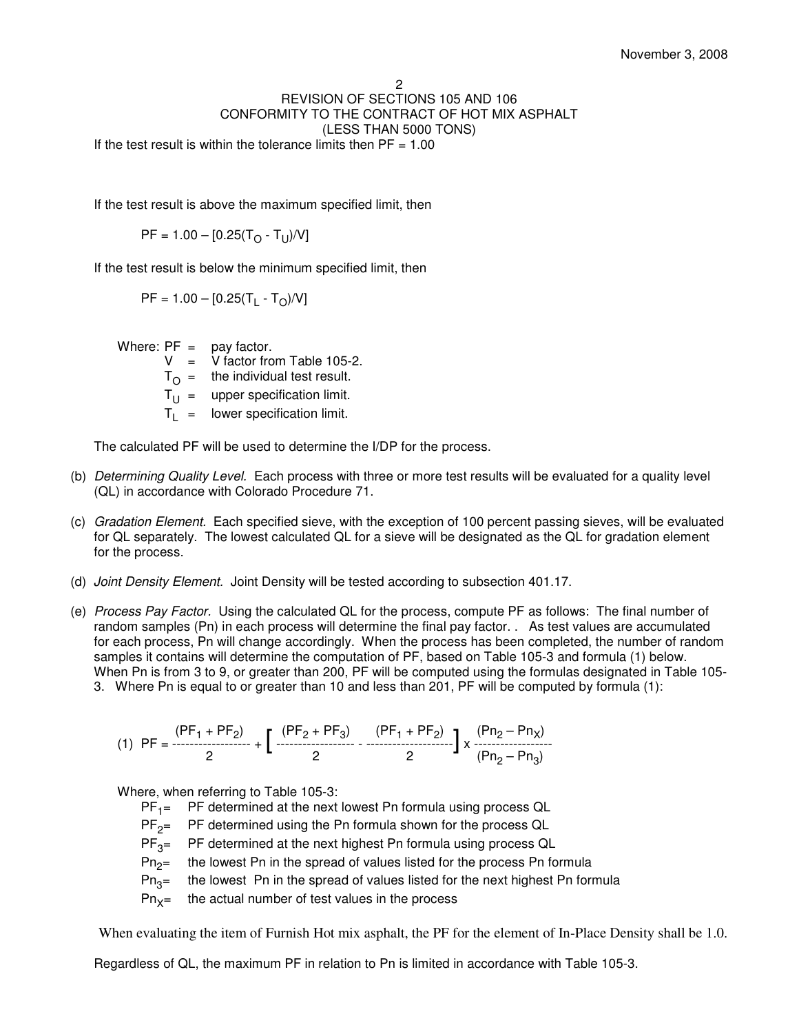### 2 REVISION OF SECTIONS 105 AND 106 CONFORMITY TO THE CONTRACT OF HOT MIX ASPHALT (LESS THAN 5000 TONS) If the test result is within the tolerance limits then  $PF = 1.00$

If the test result is above the maximum specified limit, then

 $\mathsf{PF} = 1.00 - [0.25(\mathsf{T}_{\bigcirc} \cdot \mathsf{T}_{\bigcup})/\mathsf{V}]$ 

If the test result is below the minimum specified limit, then

 $\mathsf{PF} = 1.00 - [0.25(\mathsf{T}_\mathsf{L} \cdot \mathsf{T}_\mathsf{O})/\mathsf{V}]$ 

Where:  $PF = pay factor$ .

 $V = V$  factor from Table 105-2.

 $T_{\Omega}$  = the individual test result.

 $T_U =$  upper specification limit.

 $T_L$  = lower specification limit.

The calculated PF will be used to determine the I/DP for the process.

- (b) Determining Quality Level. Each process with three or more test results will be evaluated for a quality level (QL) in accordance with Colorado Procedure 71.
- (c) Gradation Element. Each specified sieve, with the exception of 100 percent passing sieves, will be evaluated for QL separately. The lowest calculated QL for a sieve will be designated as the QL for gradation element for the process.
- (d) Joint Density Element. Joint Density will be tested according to subsection 401.17.
- (e) Process Pay Factor. Using the calculated QL for the process, compute PF as follows: The final number of random samples (Pn) in each process will determine the final pay factor. . As test values are accumulated for each process, Pn will change accordingly. When the process has been completed, the number of random samples it contains will determine the computation of PF, based on Table 105-3 and formula (1) below. When Pn is from 3 to 9, or greater than 200, PF will be computed using the formulas designated in Table 105- 3. Where Pn is equal to or greater than 10 and less than 201, PF will be computed by formula (1):

$$
(1) PF = \frac{(PF_1 + PF_2)}{2} + \left[ \frac{(PF_2 + PF_3)}{2} - \frac{(PF_1 + PF_2)}{2} \right] \times \frac{(Pn_2 - Pn_1)}{(Pn_2 - Pn_3)}
$$

Where, when referring to Table 105-3:

- $PF_1 =$ PF determined at the next lowest Pn formula using process QL
- $PF_{2}$ PF determined using the Pn formula shown for the process QL
- $PF_{3}$ = PF determined at the next highest Pn formula using process QL
- $Pn<sub>2</sub>=$ the lowest Pn in the spread of values listed for the process Pn formula
- $Pn_{3}$ = the lowest Pn in the spread of values listed for the next highest Pn formula
- $Pn_{x}$ the actual number of test values in the process

When evaluating the item of Furnish Hot mix asphalt, the PF for the element of In-Place Density shall be 1.0.

Regardless of QL, the maximum PF in relation to Pn is limited in accordance with Table 105-3.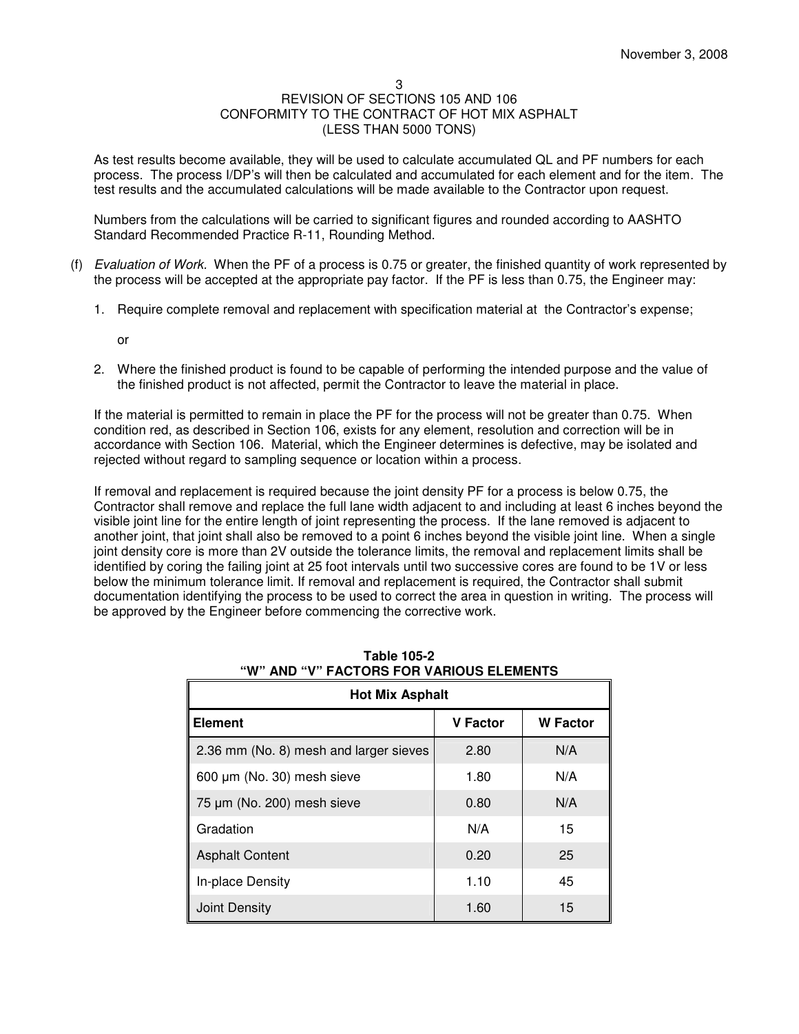As test results become available, they will be used to calculate accumulated QL and PF numbers for each process. The process I/DP's will then be calculated and accumulated for each element and for the item. The test results and the accumulated calculations will be made available to the Contractor upon request.

Numbers from the calculations will be carried to significant figures and rounded according to AASHTO Standard Recommended Practice R-11, Rounding Method.

- (f) Evaluation of Work. When the PF of a process is 0.75 or greater, the finished quantity of work represented by the process will be accepted at the appropriate pay factor. If the PF is less than 0.75, the Engineer may:
	- 1. Require complete removal and replacement with specification material at the Contractor's expense;

or

2. Where the finished product is found to be capable of performing the intended purpose and the value of the finished product is not affected, permit the Contractor to leave the material in place.

If the material is permitted to remain in place the PF for the process will not be greater than 0.75. When condition red, as described in Section 106, exists for any element, resolution and correction will be in accordance with Section 106. Material, which the Engineer determines is defective, may be isolated and rejected without regard to sampling sequence or location within a process.

If removal and replacement is required because the joint density PF for a process is below 0.75, the Contractor shall remove and replace the full lane width adjacent to and including at least 6 inches beyond the visible joint line for the entire length of joint representing the process. If the lane removed is adjacent to another joint, that joint shall also be removed to a point 6 inches beyond the visible joint line. When a single joint density core is more than 2V outside the tolerance limits, the removal and replacement limits shall be identified by coring the failing joint at 25 foot intervals until two successive cores are found to be 1V or less below the minimum tolerance limit. If removal and replacement is required, the Contractor shall submit documentation identifying the process to be used to correct the area in question in writing. The process will be approved by the Engineer before commencing the corrective work.

| , AVIVIIV I VII YANIVVU LLLIIILI<br><b>Hot Mix Asphalt</b> |                 |                 |  |  |  |
|------------------------------------------------------------|-----------------|-----------------|--|--|--|
| <b>Element</b>                                             | <b>V</b> Factor | <b>W</b> Factor |  |  |  |
| 2.36 mm (No. 8) mesh and larger sieves                     | 2.80            | N/A             |  |  |  |
| 600 µm (No. 30) mesh sieve                                 | 1.80            | N/A             |  |  |  |
| 75 µm (No. 200) mesh sieve                                 | 0.80            | N/A             |  |  |  |
| Gradation                                                  | N/A             | 15              |  |  |  |
| <b>Asphalt Content</b>                                     | 0.20            | 25              |  |  |  |
| In-place Density                                           | 1.10            | 45              |  |  |  |
| <b>Joint Density</b>                                       | 1.60            | 15              |  |  |  |

|  |  | Table 105-2 |                                          |
|--|--|-------------|------------------------------------------|
|  |  |             | "W" AND "V" FACTORS FOR VARIOUS ELEMENTS |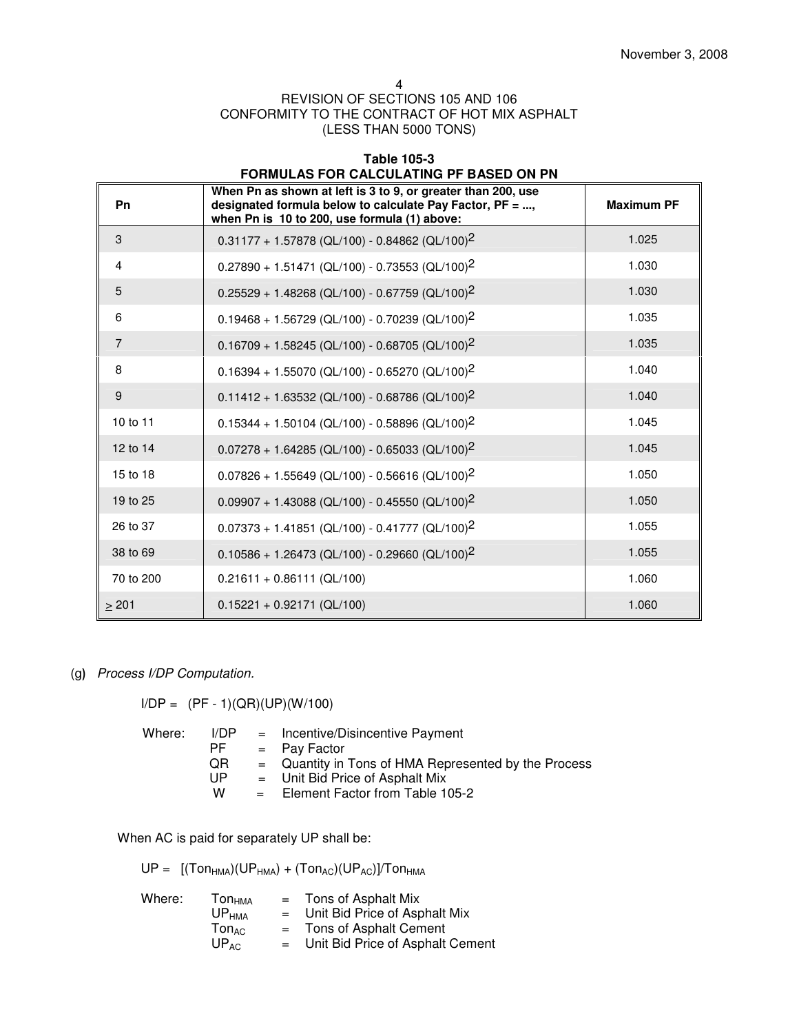4

# REVISION OF SECTIONS 105 AND 106 CONFORMITY TO THE CONTRACT OF HOT MIX ASPHALT (LESS THAN 5000 TONS)

| <b>Table 105-3</b><br><b>FORMULAS FOR CALCULATING PF BASED ON PN</b> |                                                                                                                                                                          |                   |  |  |
|----------------------------------------------------------------------|--------------------------------------------------------------------------------------------------------------------------------------------------------------------------|-------------------|--|--|
| Pn                                                                   | When Pn as shown at left is 3 to 9, or greater than 200, use<br>designated formula below to calculate Pay Factor, PF = ,<br>when Pn is 10 to 200, use formula (1) above: | <b>Maximum PF</b> |  |  |
| 3                                                                    | $0.31177 + 1.57878$ (QL/100) - 0.84862 (QL/100) <sup>2</sup>                                                                                                             | 1.025             |  |  |
| 4                                                                    | $0.27890 + 1.51471$ (QL/100) - 0.73553 (QL/100) <sup>2</sup>                                                                                                             | 1.030             |  |  |
| 5                                                                    | $0.25529 + 1.48268$ (QL/100) - 0.67759 (QL/100) <sup>2</sup>                                                                                                             | 1.030             |  |  |
| 6                                                                    | $0.19468 + 1.56729$ (QL/100) - 0.70239 (QL/100) <sup>2</sup>                                                                                                             | 1.035             |  |  |
| $\overline{7}$                                                       | $0.16709 + 1.58245$ (QL/100) - 0.68705 (QL/100) <sup>2</sup>                                                                                                             | 1.035             |  |  |
| 8                                                                    | $0.16394 + 1.55070$ (QL/100) - 0.65270 (QL/100) <sup>2</sup>                                                                                                             | 1.040             |  |  |
| 9                                                                    | $0.11412 + 1.63532$ (QL/100) - 0.68786 (QL/100) <sup>2</sup>                                                                                                             | 1.040             |  |  |
| 10 to 11                                                             | $0.15344 + 1.50104$ (QL/100) - 0.58896 (QL/100) <sup>2</sup>                                                                                                             | 1.045             |  |  |
| 12 to 14                                                             | $0.07278 + 1.64285$ (QL/100) - 0.65033 (QL/100) <sup>2</sup>                                                                                                             | 1.045             |  |  |
| 15 to 18                                                             | $0.07826 + 1.55649$ (QL/100) - 0.56616 (QL/100) <sup>2</sup>                                                                                                             | 1.050             |  |  |
| 19 to 25                                                             | $0.09907 + 1.43088$ (QL/100) - 0.45550 (QL/100) <sup>2</sup>                                                                                                             | 1.050             |  |  |
| 26 to 37                                                             | $0.07373 + 1.41851$ (QL/100) - 0.41777 (QL/100) <sup>2</sup>                                                                                                             | 1.055             |  |  |
| 38 to 69                                                             | $0.10586 + 1.26473$ (QL/100) - 0.29660 (QL/100) <sup>2</sup>                                                                                                             | 1.055             |  |  |
| 70 to 200                                                            | $0.21611 + 0.86111$ (QL/100)                                                                                                                                             | 1.060             |  |  |
| $\geq 201$                                                           | $0.15221 + 0.92171$ (QL/100)                                                                                                                                             | 1.060             |  |  |

(g) Process I/DP Computation.

 $I/DP = (PF - 1)(QR)(UP)(W/100)$ 

| Where: | I/DP<br>PF.<br><b>QR</b><br>UP | = Incentive/Disincentive Payment<br>$=$ Pav Factor<br>$=$ Quantity in Tons of HMA Represented by the Process<br>$=$ Unit Bid Price of Asphalt Mix |
|--------|--------------------------------|---------------------------------------------------------------------------------------------------------------------------------------------------|
|        | w                              | $=$ Element Factor from Table 105-2                                                                                                               |

When AC is paid for separately UP shall be:

 $UP = [(Ton<sub>HMA</sub>)(UP<sub>HMA</sub>) + (Ton<sub>AC</sub>)(UP<sub>AC</sub>)]/Ton<sub>HMA</sub>]$ 

| Where: | <b>Ton<sub>HMA</sub></b>     | $=$ Tons of Asphalt Mix           |
|--------|------------------------------|-----------------------------------|
|        | UP <sub>HMA</sub>            | $=$ Unit Bid Price of Asphalt Mix |
|        | $\mathsf{Ton}_{\mathsf{AC}}$ | = Tons of Asphalt Cement          |
|        | $UP_{AC}$<br>$=$ $-$         | Unit Bid Price of Asphalt Cement  |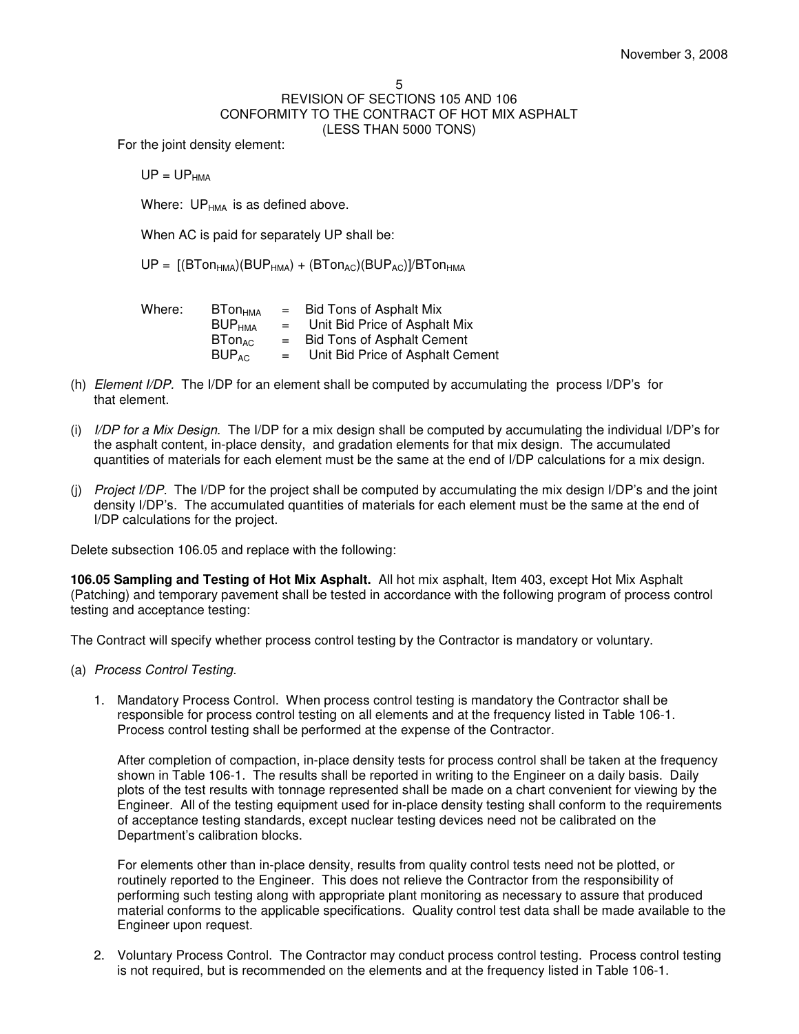For the joint density element:

 $UP = UP_{HMA}$ 

Where:  $UP_{HMA}$  is as defined above.

When AC is paid for separately UP shall be:

 $UP = [(B Ton<sub>HMA</sub>)(BUP<sub>HMA</sub>) + (B Ton<sub>AC</sub>)(BUP<sub>AC</sub>)]/BTon<sub>HMA</sub>$ 

| Where: | <b>BTon</b> <sub>HMA</sub>     | $=$ | <b>Bid Tons of Asphalt Mix</b>    |
|--------|--------------------------------|-----|-----------------------------------|
|        | BUP <sub>HMA</sub>             | $=$ | Unit Bid Price of Asphalt Mix     |
|        | $\mathsf{B Ton}_{\mathsf{AC}}$ | $=$ | <b>Bid Tons of Asphalt Cement</b> |
|        | $BUP_{AC}$                     | $=$ | Unit Bid Price of Asphalt Cement  |

- (h) Element I/DP. The I/DP for an element shall be computed by accumulating the process I/DP's for that element.
- (i)I/DP for a Mix Design. The I/DP for a mix design shall be computed by accumulating the individual I/DP's for the asphalt content, in-place density, and gradation elements for that mix design. The accumulated quantities of materials for each element must be the same at the end of I/DP calculations for a mix design.
- (j)Project I/DP. The I/DP for the project shall be computed by accumulating the mix design I/DP's and the joint density I/DP's. The accumulated quantities of materials for each element must be the same at the end of I/DP calculations for the project.

Delete subsection 106.05 and replace with the following:

**106.05 Sampling and Testing of Hot Mix Asphalt.** All hot mix asphalt, Item 403, except Hot Mix Asphalt (Patching) and temporary pavement shall be tested in accordance with the following program of process control testing and acceptance testing:

The Contract will specify whether process control testing by the Contractor is mandatory or voluntary.

- (a) Process Control Testing.
	- 1. Mandatory Process Control. When process control testing is mandatory the Contractor shall be responsible for process control testing on all elements and at the frequency listed in Table 106-1. Process control testing shall be performed at the expense of the Contractor.

After completion of compaction, in-place density tests for process control shall be taken at the frequency shown in Table 106-1. The results shall be reported in writing to the Engineer on a daily basis. Daily plots of the test results with tonnage represented shall be made on a chart convenient for viewing by the Engineer. All of the testing equipment used for in-place density testing shall conform to the requirements of acceptance testing standards, except nuclear testing devices need not be calibrated on the Department's calibration blocks.

For elements other than in-place density, results from quality control tests need not be plotted, or routinely reported to the Engineer. This does not relieve the Contractor from the responsibility of performing such testing along with appropriate plant monitoring as necessary to assure that produced material conforms to the applicable specifications. Quality control test data shall be made available to the Engineer upon request.

2. Voluntary Process Control. The Contractor may conduct process control testing. Process control testing is not required, but is recommended on the elements and at the frequency listed in Table 106-1.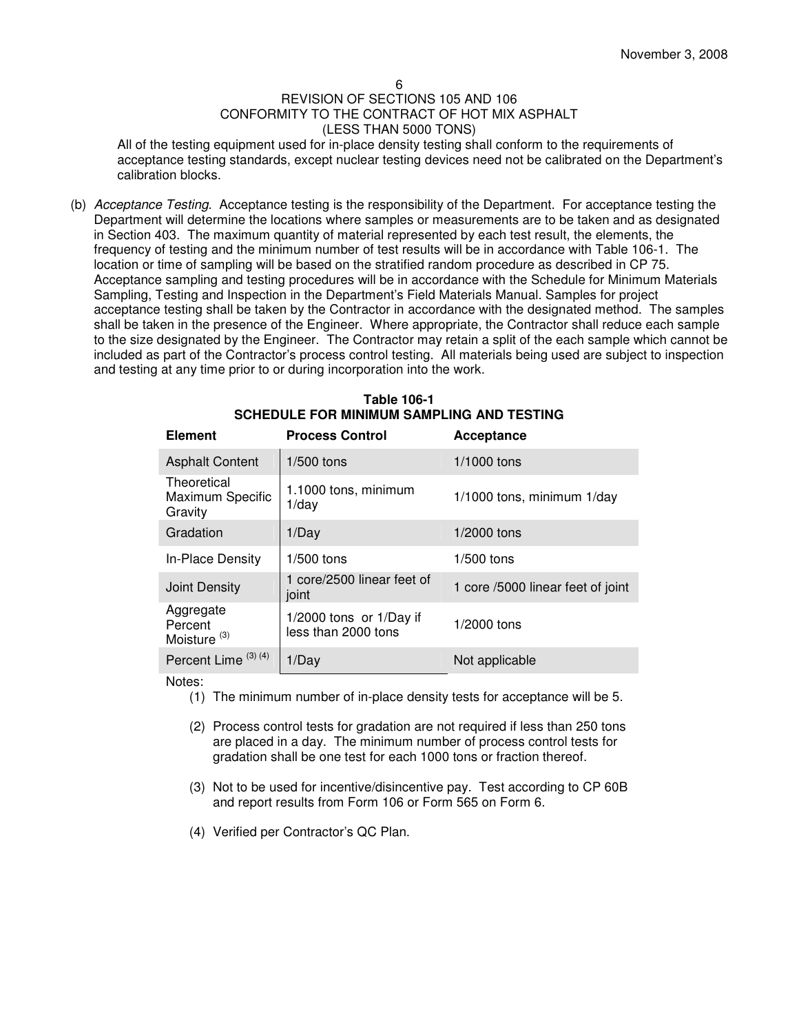All of the testing equipment used for in-place density testing shall conform to the requirements of acceptance testing standards, except nuclear testing devices need not be calibrated on the Department's calibration blocks.

(b) Acceptance Testing. Acceptance testing is the responsibility of the Department. For acceptance testing the Department will determine the locations where samples or measurements are to be taken and as designated in Section 403. The maximum quantity of material represented by each test result, the elements, the frequency of testing and the minimum number of test results will be in accordance with Table 106-1. The location or time of sampling will be based on the stratified random procedure as described in CP 75. Acceptance sampling and testing procedures will be in accordance with the Schedule for Minimum Materials Sampling, Testing and Inspection in the Department's Field Materials Manual. Samples for project acceptance testing shall be taken by the Contractor in accordance with the designated method. The samples shall be taken in the presence of the Engineer. Where appropriate, the Contractor shall reduce each sample to the size designated by the Engineer. The Contractor may retain a split of the each sample which cannot be included as part of the Contractor's process control testing. All materials being used are subject to inspection and testing at any time prior to or during incorporation into the work.

| <b>Element</b>                                  | <b>Process Control</b>                             | Acceptance                        |
|-------------------------------------------------|----------------------------------------------------|-----------------------------------|
|                                                 |                                                    |                                   |
| <b>Asphalt Content</b>                          | $1/500$ tons                                       | $1/1000$ tons                     |
| Theoretical<br>Maximum Specific<br>Gravity      | 1.1000 tons, minimum<br>$1$ /day                   | 1/1000 tons, minimum 1/day        |
| Gradation                                       | 1/Day                                              | $1/2000$ tons                     |
| In-Place Density                                | $1/500$ tons                                       | $1/500$ tons                      |
| Joint Density                                   | 1 core/2500 linear feet of<br>joint                | 1 core /5000 linear feet of joint |
| Aggregate<br>Percent<br>Moisture <sup>(3)</sup> | $1/2000$ tons or $1/Day$ if<br>less than 2000 tons | 1/2000 tons                       |
| Percent Lime <sup>(3)(4)</sup>                  | 1/Day                                              | Not applicable                    |

| Table 106-1                                      |
|--------------------------------------------------|
| <b>SCHEDULE FOR MINIMUM SAMPLING AND TESTING</b> |

Notes:

- (1) The minimum number of in-place density tests for acceptance will be 5.
- (2) Process control tests for gradation are not required if less than 250 tons are placed in a day. The minimum number of process control tests for gradation shall be one test for each 1000 tons or fraction thereof.
- (3) Not to be used for incentive/disincentive pay. Test according to CP 60B and report results from Form 106 or Form 565 on Form 6.
- (4) Verified per Contractor's QC Plan.